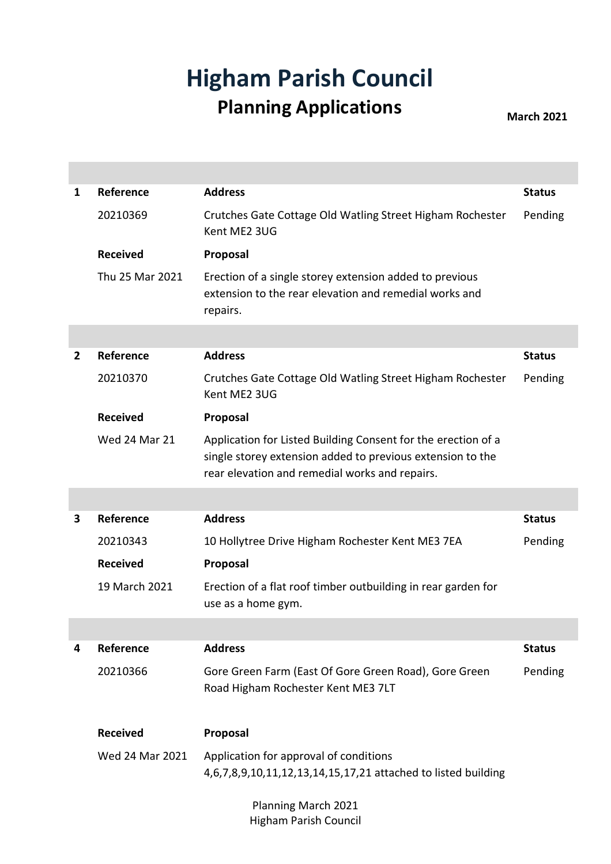## **Higham Parish Council Planning Applications March 2021**

| 1 | Reference            | <b>Address</b>                                                                                                                                                                | <b>Status</b> |
|---|----------------------|-------------------------------------------------------------------------------------------------------------------------------------------------------------------------------|---------------|
|   | 20210369             | Crutches Gate Cottage Old Watling Street Higham Rochester<br>Kent ME2 3UG                                                                                                     | Pending       |
|   | <b>Received</b>      | Proposal                                                                                                                                                                      |               |
|   | Thu 25 Mar 2021      | Erection of a single storey extension added to previous<br>extension to the rear elevation and remedial works and<br>repairs.                                                 |               |
|   |                      |                                                                                                                                                                               |               |
| 2 | Reference            | <b>Address</b>                                                                                                                                                                | <b>Status</b> |
|   | 20210370             | Crutches Gate Cottage Old Watling Street Higham Rochester<br>Kent ME2 3UG                                                                                                     | Pending       |
|   | <b>Received</b>      | Proposal                                                                                                                                                                      |               |
|   | <b>Wed 24 Mar 21</b> | Application for Listed Building Consent for the erection of a<br>single storey extension added to previous extension to the<br>rear elevation and remedial works and repairs. |               |
|   |                      |                                                                                                                                                                               |               |
| 3 | Reference            | <b>Address</b>                                                                                                                                                                | <b>Status</b> |
|   | 20210343             | 10 Hollytree Drive Higham Rochester Kent ME3 7EA                                                                                                                              | Pending       |
|   | <b>Received</b>      | Proposal                                                                                                                                                                      |               |
|   | 19 March 2021        | Erection of a flat roof timber outbuilding in rear garden for<br>use as a home gym.                                                                                           |               |
|   |                      |                                                                                                                                                                               |               |
| 4 | Reference            | <b>Address</b>                                                                                                                                                                | <b>Status</b> |
|   | 20210366             | Gore Green Farm (East Of Gore Green Road), Gore Green<br>Road Higham Rochester Kent ME3 7LT                                                                                   | Pending       |
|   | <b>Received</b>      | Proposal                                                                                                                                                                      |               |
|   | Wed 24 Mar 2021      | Application for approval of conditions                                                                                                                                        |               |
|   |                      | 4,6,7,8,9,10,11,12,13,14,15,17,21 attached to listed building                                                                                                                 |               |
|   |                      |                                                                                                                                                                               |               |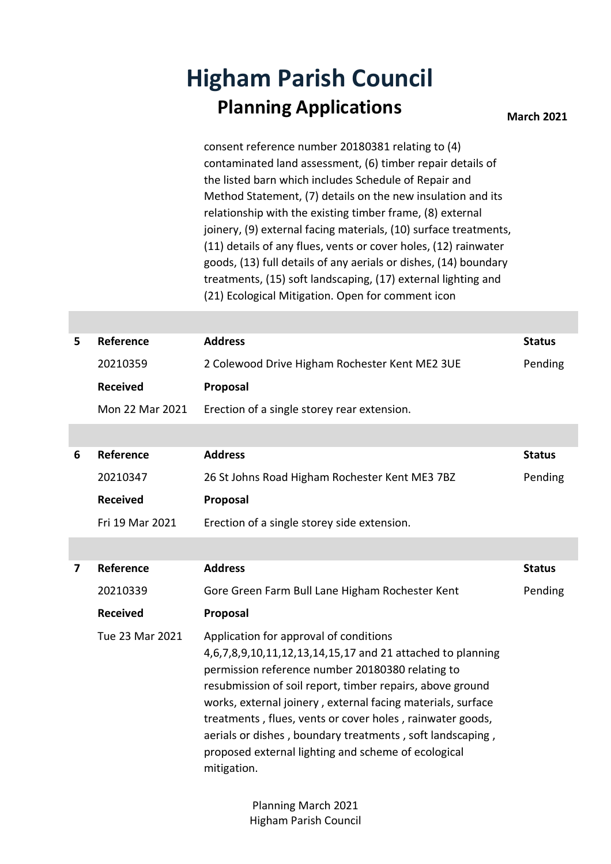## **Higham Parish Council Planning Applications March 2021**

consent reference number 20180381 relating to (4) contaminated land assessment, (6) timber repair details of the listed barn which includes Schedule of Repair and Method Statement, (7) details on the new insulation and its relationship with the existing timber frame, (8) external joinery, (9) external facing materials, (10) surface treatments, (11) details of any flues, vents or cover holes, (12) rainwater goods, (13) full details of any aerials or dishes, (14) boundary treatments, (15) soft landscaping, (17) external lighting and (21) Ecological Mitigation. Open for comment icon

| 5 | Reference       | <b>Address</b>                                  | <b>Status</b> |
|---|-----------------|-------------------------------------------------|---------------|
|   | 20210359        | 2 Colewood Drive Higham Rochester Kent ME2 3UE  | Pending       |
|   | <b>Received</b> | Proposal                                        |               |
|   | Mon 22 Mar 2021 | Erection of a single storey rear extension.     |               |
|   |                 |                                                 |               |
| 6 | Reference       | <b>Address</b>                                  | <b>Status</b> |
|   | 20210347        | 26 St Johns Road Higham Rochester Kent ME3 7BZ  | Pending       |
|   | <b>Received</b> | Proposal                                        |               |
|   | Fri 19 Mar 2021 | Erection of a single storey side extension.     |               |
|   |                 |                                                 |               |
| 7 | Reference       | <b>Address</b>                                  | <b>Status</b> |
|   |                 |                                                 |               |
|   | 20210339        | Gore Green Farm Bull Lane Higham Rochester Kent | Pending       |
|   | <b>Received</b> | Proposal                                        |               |

Planning March 2021 Higham Parish Council